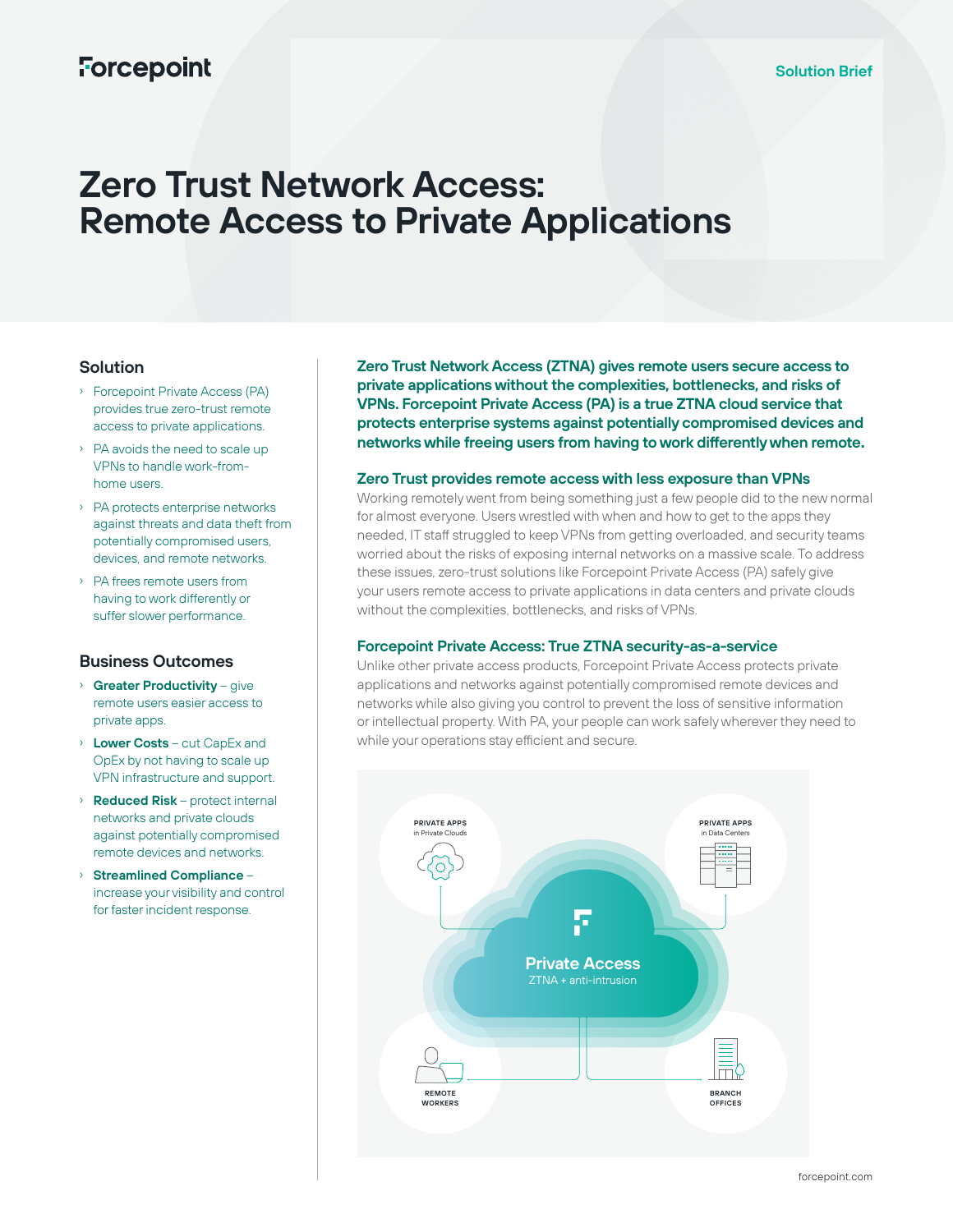# **Forcepoint**

# **Zero Trust Network Access: Remote Access to Private Applications**

### **Solution**

- › Forcepoint Private Access (PA) provides true zero-trust remote access to private applications.
- › PA avoids the need to scale up VPNs to handle work-fromhome users.
- › PA protects enterprise networks against threats and data theft from potentially compromised users, devices, and remote networks.
- › PA frees remote users from having to work differently or suffer slower performance.

#### **Business Outcomes**

- › **Greater Productivity** give remote users easier access to private apps.
- › **Lower Costs** cut CapEx and OpEx by not having to scale up VPN infrastructure and support.
- › **Reduced Risk** protect internal networks and private clouds against potentially compromised remote devices and networks.
- › **Streamlined Compliance** increase your visibility and control for faster incident response.

**Zero Trust Network Access (ZTNA) gives remote users secure access to private applications without the complexities, bottlenecks, and risks of VPNs. Forcepoint Private Access (PA) is a true ZTNA cloud service that protects enterprise systems against potentially compromised devices and networks while freeing users from having to work differently when remote.**

#### **Zero Trust provides remote access with less exposure than VPNs**

Working remotely went from being something just a few people did to the new normal for almost everyone. Users wrestled with when and how to get to the apps they needed, IT staff struggled to keep VPNs from getting overloaded, and security teams worried about the risks of exposing internal networks on a massive scale. To address these issues, zero-trust solutions like Forcepoint Private Access (PA) safely give your users remote access to private applications in data centers and private clouds without the complexities, bottlenecks, and risks of VPNs.

#### **Forcepoint Private Access: True ZTNA security-as-a-service**

Unlike other private access products, Forcepoint Private Access protects private applications and networks against potentially compromised remote devices and networks while also giving you control to prevent the loss of sensitive information or intellectual property. With PA, your people can work safely wherever they need to while your operations stay efficient and secure.